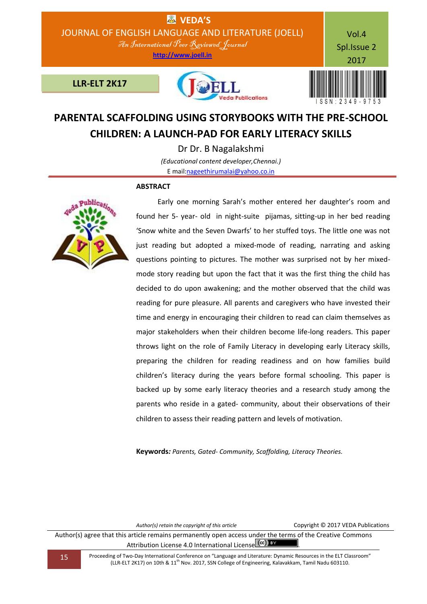

# **PARENTAL SCAFFOLDING USING STORYBOOKS WITH THE PRE-SCHOOL CHILDREN: A LAUNCH-PAD FOR EARLY LITERACY SKILLS**

Dr Dr. B Nagalakshmi *(Educational content developer,Chennai.)* E mail[:nageethirumalai@yahoo.co.in](mailto:nageethirumalai@yahoo.co.in)

### **ABSTRACT**



 Early one morning Sarah's mother entered her daughter's room and found her 5- year- old in night-suite pijamas, sitting-up in her bed reading 'Snow white and the Seven Dwarfs' to her stuffed toys. The little one was not just reading but adopted a mixed-mode of reading, narrating and asking questions pointing to pictures. The mother was surprised not by her mixedmode story reading but upon the fact that it was the first thing the child has decided to do upon awakening; and the mother observed that the child was reading for pure pleasure. All parents and caregivers who have invested their time and energy in encouraging their children to read can claim themselves as major stakeholders when their children become life-long readers. This paper throws light on the role of Family Literacy in developing early Literacy skills, preparing the children for reading readiness and on how families build children's literacy during the years before formal schooling. This paper is backed up by some early literacy theories and a research study among the parents who reside in a gated- community, about their observations of their children to assess their reading pattern and levels of motivation.

**Keywords***: Parents, Gated- Community, Scaffolding, Literacy Theories.*

*Author(s) retain the copyright of this article* Copyright © 2017 VEDA Publications

Author(s) agree that this article remains permanently open access under the terms of the Creative Commons Attribution License 4.0 International License  $\left[\text{cc}\right]$  BY

15 Proceeding of Two-Day International Conference on "Language and Literature: Dynamic Resources in the ELT Classroom" (LLR-ELT 2K17) on 10th & 11th Nov. 2017, SSN College of Engineering, Kalavakkam, Tamil Nadu 603110.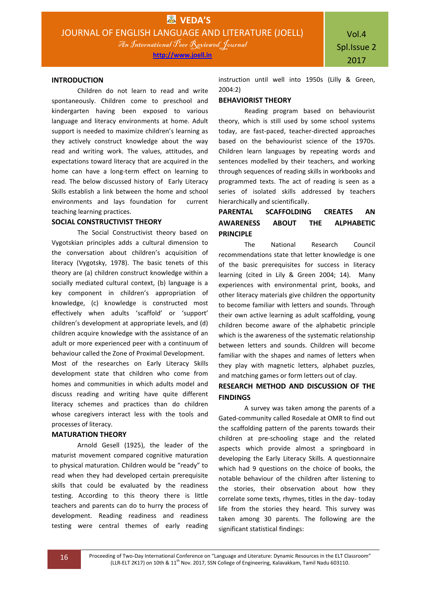#### **INTRODUCTION**

Children do not learn to read and write spontaneously. Children come to preschool and kindergarten having been exposed to various language and literacy environments at home. Adult support is needed to maximize children's learning as they actively construct knowledge about the way read and writing work. The values, attitudes, and expectations toward literacy that are acquired in the home can have a long-term effect on learning to read. The below discussed history of Early Literacy Skills establish a link between the home and school environments and lays foundation for current teaching learning practices.

### **SOCIAL CONSTRUCTIVIST THEORY**

The Social Constructivist theory based on Vygotskian principles adds a cultural dimension to the conversation about children's acquisition of literacy (Vygotsky, 1978). The basic tenets of this theory are (a) children construct knowledge within a socially mediated cultural context, (b) language is a key component in children's appropriation of knowledge, (c) knowledge is constructed most effectively when adults 'scaffold' or 'support' children's development at appropriate levels, and (d) children acquire knowledge with the assistance of an adult or more experienced peer with a continuum of behaviour called the Zone of Proximal Development.

Most of the researches on Early Literacy Skills development state that children who come from homes and communities in which adults model and discuss reading and writing have quite different literacy schemes and practices than do children whose caregivers interact less with the tools and processes of literacy.

#### **MATURATION THEORY**

Arnold Gesell (1925), the leader of the maturist movement compared cognitive maturation to physical maturation. Children would be "ready" to read when they had developed certain prerequisite skills that could be evaluated by the readiness testing. According to this theory there is little teachers and parents can do to hurry the process of development. Reading readiness and readiness testing were central themes of early reading

instruction until well into 1950s (Lilly & Green, 2004:2)

### **BEHAVIORIST THEORY**

Reading program based on behaviourist theory, which is still used by some school systems today, are fast-paced, teacher-directed approaches based on the behaviourist science of the 1970s. Children learn languages by repeating words and sentences modelled by their teachers, and working through sequences of reading skills in workbooks and programmed texts. The act of reading is seen as a series of isolated skills addressed by teachers hierarchically and scientifically.

# **PARENTAL SCAFFOLDING CREATES AN AWARENESS ABOUT THE ALPHABETIC PRINCIPLE**

The National Research Council recommendations state that letter knowledge is one of the basic prerequisites for success in literacy learning (cited in Lily & Green 2004; 14). Many experiences with environmental print, books, and other literacy materials give children the opportunity to become familiar with letters and sounds. Through their own active learning as adult scaffolding, young children become aware of the alphabetic principle which is the awareness of the systematic relationship between letters and sounds. Children will become familiar with the shapes and names of letters when they play with magnetic letters, alphabet puzzles, and matching games or form letters out of clay.

## **RESEARCH METHOD AND DISCUSSION OF THE FINDINGS**

A survey was taken among the parents of a Gated-community called Rosedale at OMR to find out the scaffolding pattern of the parents towards their children at pre-schooling stage and the related aspects which provide almost a springboard in developing the Early Literacy Skills. A questionnaire which had 9 questions on the choice of books, the notable behaviour of the children after listening to the stories, their observation about how they correlate some texts, rhymes, titles in the day- today life from the stories they heard. This survey was taken among 30 parents. The following are the significant statistical findings: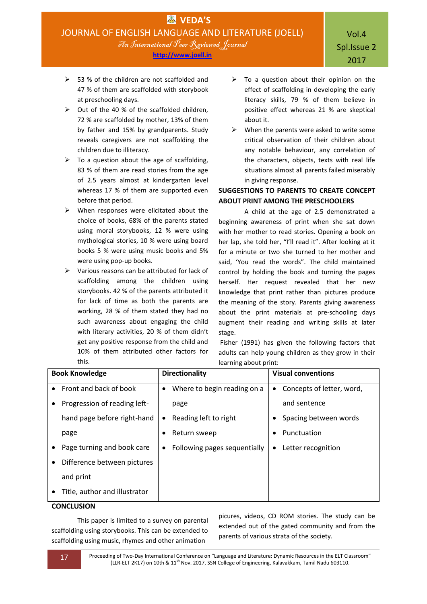- $>$  53 % of the children are not scaffolded and 47 % of them are scaffolded with storybook at preschooling days.
- $\triangleright$  Out of the 40 % of the scaffolded children, 72 % are scaffolded by mother, 13% of them by father and 15% by grandparents. Study reveals caregivers are not scaffolding the children due to illiteracy.
- $\triangleright$  To a question about the age of scaffolding, 83 % of them are read stories from the age of 2.5 years almost at kindergarten level whereas 17 % of them are supported even before that period.
- $\triangleright$  When responses were elicitated about the choice of books, 68% of the parents stated using moral storybooks, 12 % were using mythological stories, 10 % were using board books 5 % were using music books and 5% were using pop-up books.
- $\triangleright$  Various reasons can be attributed for lack of scaffolding among the children using storybooks. 42 % of the parents attributed it for lack of time as both the parents are working, 28 % of them stated they had no such awareness about engaging the child with literary activities, 20 % of them didn't get any positive response from the child and 10% of them attributed other factors for this.
- $\triangleright$  To a question about their opinion on the effect of scaffolding in developing the early literacy skills, 79 % of them believe in positive effect whereas 21 % are skeptical about it.
- $\triangleright$  When the parents were asked to write some critical observation of their children about any notable behaviour, any correlation of the characters, objects, texts with real life situations almost all parents failed miserably in giving response.

# **SUGGESTIONS TO PARENTS TO CREATE CONCEPT ABOUT PRINT AMONG THE PRESCHOOLERS**

A child at the age of 2.5 demonstrated a beginning awareness of print when she sat down with her mother to read stories. Opening a book on her lap, she told her, "I'll read it". After looking at it for a minute or two she turned to her mother and said, 'You read the words". The child maintained control by holding the book and turning the pages herself. Her request revealed that her new knowledge that print rather than pictures produce the meaning of the story. Parents giving awareness about the print materials at pre-schooling days augment their reading and writing skills at later stage.

Fisher (1991) has given the following factors that adults can help young children as they grow in their learning about print:

| <b>Book Knowledge</b> |                               | <b>Directionality</b> |                              | <b>Visual conventions</b> |                           |
|-----------------------|-------------------------------|-----------------------|------------------------------|---------------------------|---------------------------|
| $\bullet$             | Front and back of book        | $\bullet$             | Where to begin reading on a  | ٠                         | Concepts of letter, word, |
|                       | Progression of reading left-  |                       | page                         |                           | and sentence              |
|                       | hand page before right-hand   | $\bullet$             | Reading left to right        |                           | Spacing between words     |
|                       | page                          | ٠                     | Return sweep                 |                           | Punctuation               |
|                       | Page turning and book care    | $\bullet$             | Following pages sequentially | ٠                         | Letter recognition        |
| $\bullet$             | Difference between pictures   |                       |                              |                           |                           |
|                       | and print                     |                       |                              |                           |                           |
|                       | Title, author and illustrator |                       |                              |                           |                           |

## **CONCLUSION**

This paper is limited to a survey on parental scaffolding using storybooks. This can be extended to scaffolding using music, rhymes and other animation

picures, videos, CD ROM stories. The study can be extended out of the gated community and from the parents of various strata of the society.

17 Proceeding of Two-Day International Conference on "Language and Literature: Dynamic Resources in the ELT Classroom" (LLR-ELT 2K17) on 10th & 11<sup>th</sup> Nov. 2017, SSN College of Engineering, Kalavakkam, Tamil Nadu 603110.